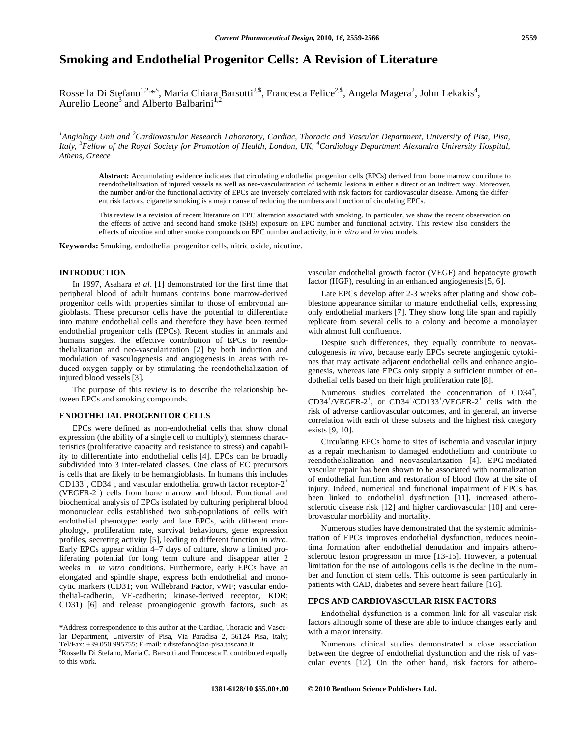# **Smoking and Endothelial Progenitor Cells: A Revision of Literature**

Rossella Di Stefano<sup>1,2,</sup>\*<sup>\$</sup>, Maria Chiara Barsotti<sup>2,\$</sup>, Francesca Felice<sup>2,\$</sup>, Angela Magera<sup>2</sup>, John Lekakis<sup>4</sup>,<br>Aurelio Leone<sup>3</sup> and Alberto Balbarini<sup>1,2</sup> Aurelio Leone<sup>3</sup> and Alberto Balbarini<sup>1</sup>

<sup>1</sup> Angiology Unit and <sup>2</sup> Cardiovascular Research Laboratory, Cardiac, Thoracic and Vascular Department, University of Pisa, Pisa, Italy, <sup>3</sup>Fellow of the Royal Society for Promotion of Health, London, UK, <sup>4</sup>Cardiology Department Alexandra University Hospital, *Athens, Greece* 

**Abstract:** Accumulating evidence indicates that circulating endothelial progenitor cells (EPCs) derived from bone marrow contribute to reendothelialization of injured vessels as well as neo-vascularization of ischemic lesions in either a direct or an indirect way. Moreover, the number and/or the functional activity of EPCs are inversely correlated with risk factors for cardiovascular disease. Among the different risk factors, cigarette smoking is a major cause of reducing the numbers and function of circulating EPCs.

This review is a revision of recent literature on EPC alteration associated with smoking. In particular, we show the recent observation on the effects of active and second hand smoke (SHS) exposure on EPC number and functional activity. This review also considers the effects of nicotine and other smoke compounds on EPC number and activity, in *in vitro* and *in vivo* models.

**Keywords:** Smoking, endothelial progenitor cells, nitric oxide, nicotine.

# **INTRODUCTION**

 In 1997, Asahara *et al*. [1] demonstrated for the first time that peripheral blood of adult humans contains bone marrow-derived progenitor cells with properties similar to those of embryonal angioblasts. These precursor cells have the potential to differentiate into mature endothelial cells and therefore they have been termed endothelial progenitor cells (EPCs). Recent studies in animals and humans suggest the effective contribution of EPCs to reendothelialization and neo-vascularization [2] by both induction and modulation of vasculogenesis and angiogenesis in areas with reduced oxygen supply or by stimulating the reendothelialization of injured blood vessels [3].

 The purpose of this review is to describe the relationship between EPCs and smoking compounds.

# **ENDOTHELIAL PROGENITOR CELLS**

 EPCs were defined as non-endothelial cells that show clonal expression (the ability of a single cell to multiply), stemness characteristics (proliferative capacity and resistance to stress) and capability to differentiate into endothelial cells [4]. EPCs can be broadly subdivided into 3 inter-related classes. One class of EC precursors is cells that are likely to be hemangioblasts. In humans this includes CD133<sup>+</sup>, CD34<sup>+</sup>, and vascular endothelial growth factor receptor-2<sup>+</sup> (VEGFR-2<sup>+</sup> ) cells from bone marrow and blood. Functional and biochemical analysis of EPCs isolated by culturing peripheral blood mononuclear cells established two sub-populations of cells with endothelial phenotype: early and late EPCs, with different morphology, proliferation rate, survival behaviours, gene expression profiles, secreting activity [5], leading to different function *in vitro*. Early EPCs appear within 4–7 days of culture, show a limited proliferating potential for long term culture and disappear after 2 weeks in *in vitro* conditions. Furthermore, early EPCs have an elongated and spindle shape, express both endothelial and monocytic markers (CD31; von Willebrand Factor, vWF; vascular endothelial-cadherin, VE-cadherin; kinase-derived receptor, KDR; CD31) [6] and release proangiogenic growth factors, such as

vascular endothelial growth factor (VEGF) and hepatocyte growth factor (HGF), resulting in an enhanced angiogenesis [5, 6].

 Late EPCs develop after 2-3 weeks after plating and show cobblestone appearance similar to mature endothelial cells, expressing only endothelial markers [7]. They show long life span and rapidly replicate from several cells to a colony and become a monolayer with almost full confluence.

 Despite such differences, they equally contribute to neovasculogenesis *in vivo*, because early EPCs secrete angiogenic cytokines that may activate adjacent endothelial cells and enhance angiogenesis, whereas late EPCs only supply a sufficient number of endothelial cells based on their high proliferation rate [8].

Numerous studies correlated the concentration of CD34<sup>+</sup>,  $CD34^+/VEGFR-2^+$ , or  $CD34^+/CD133^+/VEGFR-2^+$  cells with the risk of adverse cardiovascular outcomes, and in general, an inverse correlation with each of these subsets and the highest risk category exists [9, 10].

 Circulating EPCs home to sites of ischemia and vascular injury as a repair mechanism to damaged endothelium and contribute to reendothelialization and neovascularization [4]. EPC-mediated vascular repair has been shown to be associated with normalization of endothelial function and restoration of blood flow at the site of injury. Indeed, numerical and functional impairment of EPCs has been linked to endothelial dysfunction [11], increased atherosclerotic disease risk [12] and higher cardiovascular [10] and cerebrovascular morbidity and mortality.

 Numerous studies have demonstrated that the systemic administration of EPCs improves endothelial dysfunction, reduces neointima formation after endothelial denudation and impairs atherosclerotic lesion progression in mice [13-15]. However, a potential limitation for the use of autologous cells is the decline in the number and function of stem cells. This outcome is seen particularly in patients with CAD, diabetes and severe heart failure [16].

# **EPCS AND CARDIOVASCULAR RISK FACTORS**

 Endothelial dysfunction is a common link for all vascular risk factors although some of these are able to induce changes early and with a major intensity.

 Numerous clinical studies demonstrated a close association between the degree of endothelial dysfunction and the risk of vascular events [12]. On the other hand, risk factors for athero-

**<sup>\*</sup>**Address correspondence to this author at the Cardiac, Thoracic and Vascular Department, University of Pisa, Via Paradisa 2, 56124 Pisa, Italy; Tel/Fax: +39 050 995755; E-mail: r.distefano@ao-pisa.toscana.it \$

Rossella Di Stefano, Maria C. Barsotti and Francesca F. contributed equally to this work.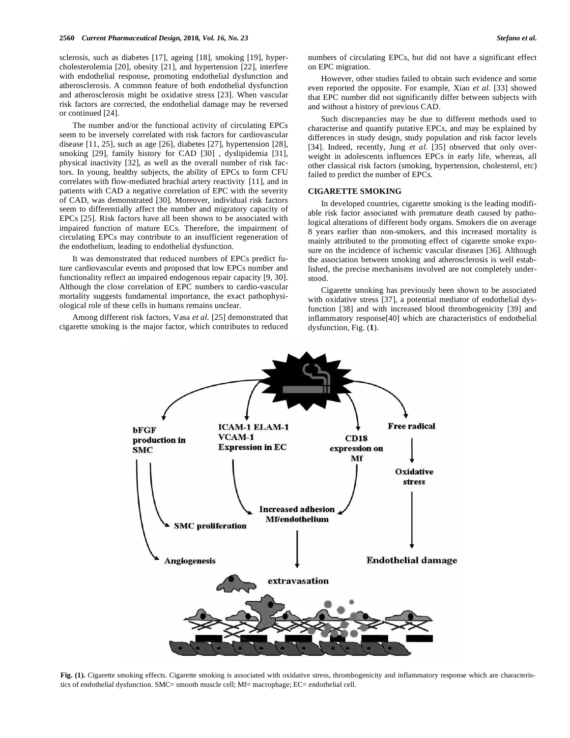sclerosis, such as diabetes [17], ageing [18], smoking [19], hypercholesterolemia [20], obesity [21], and hypertension [22], interfere with endothelial response, promoting endothelial dysfunction and atherosclerosis. A common feature of both endothelial dysfunction and atherosclerosis might be oxidative stress [23]. When vascular risk factors are corrected, the endothelial damage may be reversed or continued [24].

 The number and/or the functional activity of circulating EPCs seem to be inversely correlated with risk factors for cardiovascular disease [11, 25], such as age [26], diabetes [27], hypertension [28], smoking [29], family history for CAD [30] , dyslipidemia [31], physical inactivity [32], as well as the overall number of risk factors. In young, healthy subjects, the ability of EPCs to form CFU correlates with flow-mediated brachial artery reactivity [11], and in patients with CAD a negative correlation of EPC with the severity of CAD, was demonstrated [30]. Moreover, individual risk factors seem to differentially affect the number and migratory capacity of EPCs [25]. Risk factors have all been shown to be associated with impaired function of mature ECs. Therefore, the impairment of circulating EPCs may contribute to an insufficient regeneration of the endothelium, leading to endothelial dysfunction.

 It was demonstrated that reduced numbers of EPCs predict future cardiovascular events and proposed that low EPCs number and functionality reflect an impaired endogenous repair capacity [9, 30]. Although the close correlation of EPC numbers to cardio-vascular mortality suggests fundamental importance, the exact pathophysiological role of these cells in humans remains unclear.

 Among different risk factors, Vasa *et al.* [25] demonstrated that cigarette smoking is the major factor, which contributes to reduced numbers of circulating EPCs, but did not have a significant effect on EPC migration.

 However, other studies failed to obtain such evidence and some even reported the opposite. For example, Xiao *et al.* [33] showed that EPC number did not significantly differ between subjects with and without a history of previous CAD.

 Such discrepancies may be due to different methods used to characterise and quantify putative EPCs, and may be explained by differences in study design, study population and risk factor levels [34]. Indeed, recently, Jung *et al*. [35] observed that only overweight in adolescents influences EPCs in early life, whereas, all other classical risk factors (smoking, hypertension, cholesterol, etc) failed to predict the number of EPCs.

#### **CIGARETTE SMOKING**

 In developed countries, cigarette smoking is the leading modifiable risk factor associated with premature death caused by pathological alterations of different body organs. Smokers die on average 8 years earlier than non-smokers, and this increased mortality is mainly attributed to the promoting effect of cigarette smoke exposure on the incidence of ischemic vascular diseases [36]. Although the association between smoking and atherosclerosis is well established, the precise mechanisms involved are not completely understood.

 Cigarette smoking has previously been shown to be associated with oxidative stress [37], a potential mediator of endothelial dysfunction [38] and with increased blood thrombogenicity [39] and inflammatory response[40] which are characteristics of endothelial dysfunction, Fig. (**1**).



**Fig. (1).** Cigarette smoking effects. Cigarette smoking is associated with oxidative stress, thrombogenicity and inflammatory response which are characteristics of endothelial dysfunction. SMC= smooth muscle cell; Mf= macrophage; EC= endothelial cell.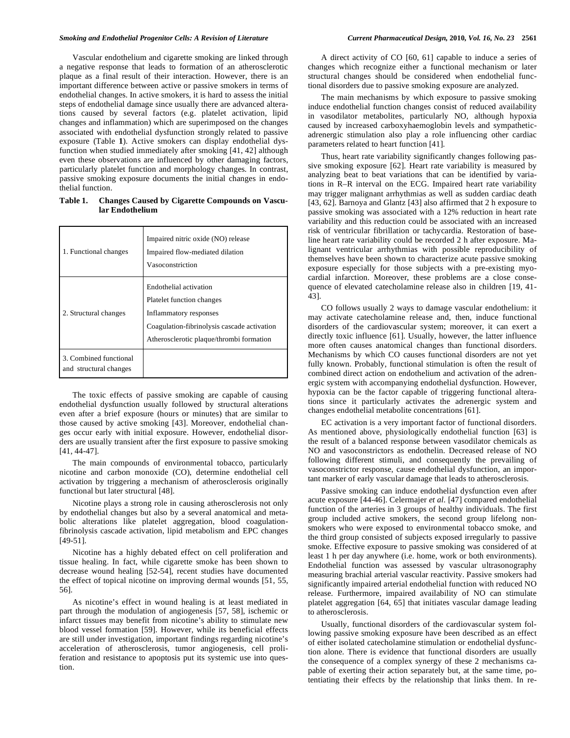Vascular endothelium and cigarette smoking are linked through a negative response that leads to formation of an atherosclerotic plaque as a final result of their interaction. However, there is an important difference between active or passive smokers in terms of endothelial changes. In active smokers, it is hard to assess the initial steps of endothelial damage since usually there are advanced alterations caused by several factors (e.g. platelet activation, lipid changes and inflammation) which are superimposed on the changes associated with endothelial dysfunction strongly related to passive exposure (Table **1**). Active smokers can display endothelial dysfunction when studied immediately after smoking [41, 42] although even these observations are influenced by other damaging factors, particularly platelet function and morphology changes. In contrast, passive smoking exposure documents the initial changes in endothelial function.

**Table 1. Changes Caused by Cigarette Compounds on Vascular Endothelium** 

| 1. Functional changes                            | Impaired nitric oxide (NO) release<br>Impaired flow-mediated dilation<br>Vasoconstriction                                                                                |
|--------------------------------------------------|--------------------------------------------------------------------------------------------------------------------------------------------------------------------------|
| 2. Structural changes                            | Endothelial activation<br>Platelet function changes<br>Inflammatory responses<br>Coagulation-fibrinolysis cascade activation<br>Atherosclerotic plaque/thrombi formation |
| 3. Combined functional<br>and structural changes |                                                                                                                                                                          |

 The toxic effects of passive smoking are capable of causing endothelial dysfunction usually followed by structural alterations even after a brief exposure (hours or minutes) that are similar to those caused by active smoking [43]. Moreover, endothelial changes occur early with initial exposure. However, endothelial disorders are usually transient after the first exposure to passive smoking [41, 44-47].

 The main compounds of environmental tobacco, particularly nicotine and carbon monoxide (CO), determine endothelial cell activation by triggering a mechanism of atherosclerosis originally functional but later structural [48].

 Nicotine plays a strong role in causing atherosclerosis not only by endothelial changes but also by a several anatomical and metabolic alterations like platelet aggregation, blood coagulationfibrinolysis cascade activation, lipid metabolism and EPC changes [49-51].

 Nicotine has a highly debated effect on cell proliferation and tissue healing. In fact, while cigarette smoke has been shown to decrease wound healing [52-54], recent studies have documented the effect of topical nicotine on improving dermal wounds [51, 55, 56].

 As nicotine's effect in wound healing is at least mediated in part through the modulation of angiogenesis [57, 58], ischemic or infarct tissues may benefit from nicotine's ability to stimulate new blood vessel formation [59]. However, while its beneficial effects are still under investigation, important findings regarding nicotine's acceleration of atherosclerosis, tumor angiogenesis, cell proliferation and resistance to apoptosis put its systemic use into question.

 A direct activity of CO [60, 61] capable to induce a series of changes which recognize either a functional mechanism or later structural changes should be considered when endothelial functional disorders due to passive smoking exposure are analyzed.

 The main mechanisms by which exposure to passive smoking induce endothelial function changes consist of reduced availability in vasodilator metabolites, particularly NO, although hypoxia caused by increased carboxyhaemoglobin levels and sympatheticadrenergic stimulation also play a role influencing other cardiac parameters related to heart function [41].

 Thus, heart rate variability significantly changes following passive smoking exposure [62]. Heart rate variability is measured by analyzing beat to beat variations that can be identified by variations in R–R interval on the ECG. Impaired heart rate variability may trigger malignant arrhythmias as well as sudden cardiac death [43, 62]. Barnoya and Glantz [43] also affirmed that 2 h exposure to passive smoking was associated with a 12% reduction in heart rate variability and this reduction could be associated with an increased risk of ventricular fibrillation or tachycardia. Restoration of baseline heart rate variability could be recorded 2 h after exposure. Malignant ventricular arrhythmias with possible reproducibility of themselves have been shown to characterize acute passive smoking exposure especially for those subjects with a pre-existing myocardial infarction. Moreover, these problems are a close consequence of elevated catecholamine release also in children [19, 41- 43].

 CO follows usually 2 ways to damage vascular endothelium: it may activate catecholamine release and, then, induce functional disorders of the cardiovascular system; moreover, it can exert a directly toxic influence [61]. Usually, however, the latter influence more often causes anatomical changes than functional disorders. Mechanisms by which CO causes functional disorders are not yet fully known. Probably, functional stimulation is often the result of combined direct action on endothelium and activation of the adrenergic system with accompanying endothelial dysfunction. However, hypoxia can be the factor capable of triggering functional alterations since it particularly activates the adrenergic system and changes endothelial metabolite concentrations [61].

 EC activation is a very important factor of functional disorders. As mentioned above, physiologically endothelial function [63] is the result of a balanced response between vasodilator chemicals as NO and vasoconstrictors as endothelin. Decreased release of NO following different stimuli, and consequently the prevailing of vasoconstrictor response, cause endothelial dysfunction, an important marker of early vascular damage that leads to atherosclerosis.

 Passive smoking can induce endothelial dysfunction even after acute exposure [44-46]. Celermajer *et al.* [47] compared endothelial function of the arteries in 3 groups of healthy individuals. The first group included active smokers, the second group lifelong nonsmokers who were exposed to environmental tobacco smoke, and the third group consisted of subjects exposed irregularly to passive smoke. Effective exposure to passive smoking was considered of at least 1 h per day anywhere (i.e. home, work or both environments). Endothelial function was assessed by vascular ultrasonography measuring brachial arterial vascular reactivity. Passive smokers had significantly impaired arterial endothelial function with reduced NO release. Furthermore, impaired availability of NO can stimulate platelet aggregation [64, 65] that initiates vascular damage leading to atherosclerosis.

 Usually, functional disorders of the cardiovascular system following passive smoking exposure have been described as an effect of either isolated catecholamine stimulation or endothelial dysfunction alone. There is evidence that functional disorders are usually the consequence of a complex synergy of these 2 mechanisms capable of exerting their action separately but, at the same time, potentiating their effects by the relationship that links them. In re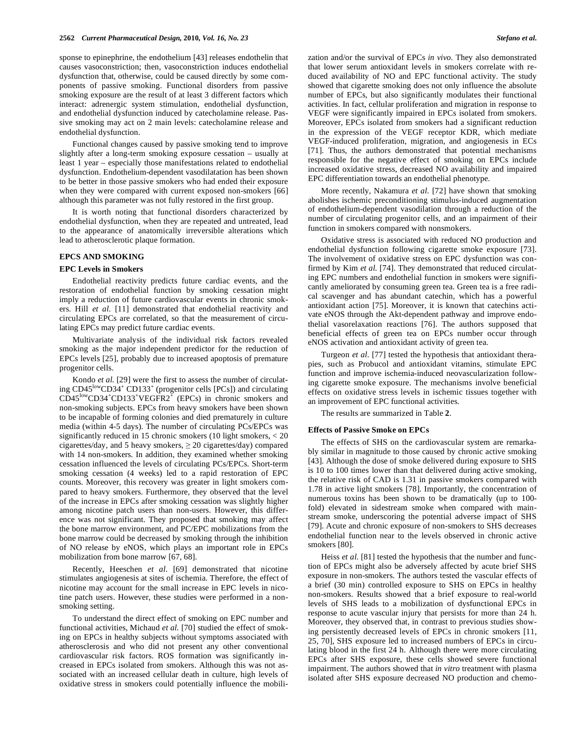sponse to epinephrine, the endothelium [43] releases endothelin that causes vasoconstriction; then, vasoconstriction induces endothelial dysfunction that, otherwise, could be caused directly by some components of passive smoking. Functional disorders from passive smoking exposure are the result of at least 3 different factors which interact: adrenergic system stimulation, endothelial dysfunction, and endothelial dysfunction induced by catecholamine release. Passive smoking may act on 2 main levels: catecholamine release and endothelial dysfunction.

 Functional changes caused by passive smoking tend to improve slightly after a long-term smoking exposure cessation – usually at least 1 year – especially those manifestations related to endothelial dysfunction. Endothelium-dependent vasodilatation has been shown to be better in those passive smokers who had ended their exposure when they were compared with current exposed non-smokers [66] although this parameter was not fully restored in the first group.

 It is worth noting that functional disorders characterized by endothelial dysfunction, when they are repeated and untreated, lead to the appearance of anatomically irreversible alterations which lead to atherosclerotic plaque formation.

#### **EPCS AND SMOKING**

#### **EPC Levels in Smokers**

 Endothelial reactivity predicts future cardiac events, and the restoration of endothelial function by smoking cessation might imply a reduction of future cardiovascular events in chronic smokers. Hill *et al.* [11] demonstrated that endothelial reactivity and circulating EPCs are correlated, so that the measurement of circulating EPCs may predict future cardiac events.

 Multivariate analysis of the individual risk factors revealed smoking as the major independent predictor for the reduction of EPCs levels [25], probably due to increased apoptosis of premature progenitor cells.

 Kondo *et al.* [29] were the first to assess the number of circulating CD45<sup>low</sup>CD34<sup>+</sup> CD133<sup>+</sup> (progenitor cells [PCs]) and circulating  $CD45^{\text{low}}CD34^{\text{+}}CD133^{\text{+}}VEGFR2^{\text{+}}$  (EPCs) in chronic smokers and non-smoking subjects. EPCs from heavy smokers have been shown to be incapable of forming colonies and died prematurely in culture media (within 4-5 days). The number of circulating PCs/EPCs was significantly reduced in 15 chronic smokers (10 light smokers, < 20 cigarettes/day, and 5 heavy smokers,  $\geq 20$  cigarettes/day) compared with 14 non-smokers. In addition, they examined whether smoking cessation influenced the levels of circulating PCs/EPCs. Short-term smoking cessation (4 weeks) led to a rapid restoration of EPC counts. Moreover, this recovery was greater in light smokers compared to heavy smokers. Furthermore, they observed that the level of the increase in EPCs after smoking cessation was slightly higher among nicotine patch users than non-users. However, this difference was not significant. They proposed that smoking may affect the bone marrow environment, and PC/EPC mobilizations from the bone marrow could be decreased by smoking through the inhibition of NO release by eNOS, which plays an important role in EPCs mobilization from bone marrow [67, 68].

 Recently, Heeschen *et al.* [69] demonstrated that nicotine stimulates angiogenesis at sites of ischemia. Therefore, the effect of nicotine may account for the small increase in EPC levels in nicotine patch users. However, these studies were performed in a nonsmoking setting.

 To understand the direct effect of smoking on EPC number and functional activities, Michaud *et al.* [70] studied the effect of smoking on EPCs in healthy subjects without symptoms associated with atherosclerosis and who did not present any other conventional cardiovascular risk factors. ROS formation was significantly increased in EPCs isolated from smokers. Although this was not associated with an increased cellular death in culture, high levels of oxidative stress in smokers could potentially influence the mobilization and/or the survival of EPCs *in vivo*. They also demonstrated that lower serum antioxidant levels in smokers correlate with reduced availability of NO and EPC functional activity. The study showed that cigarette smoking does not only influence the absolute number of EPCs, but also significantly modulates their functional activities. In fact, cellular proliferation and migration in response to VEGF were significantly impaired in EPCs isolated from smokers. Moreover, EPCs isolated from smokers had a significant reduction in the expression of the VEGF receptor KDR, which mediate VEGF-induced proliferation, migration, and angiogenesis in ECs [71]. Thus, the authors demonstrated that potential mechanisms responsible for the negative effect of smoking on EPCs include increased oxidative stress, decreased NO availability and impaired EPC differentiation towards an endothelial phenotype.

 More recently, Nakamura *et al*. [72] have shown that smoking abolishes ischemic preconditioning stimulus-induced augmentation of endothelium-dependent vasodilation through a reduction of the number of circulating progenitor cells, and an impairment of their function in smokers compared with nonsmokers.

 Oxidative stress is associated with reduced NO production and endothelial dysfunction following cigarette smoke exposure [73]. The involvement of oxidative stress on EPC dysfunction was confirmed by Kim *et al.* [74]. They demonstrated that reduced circulating EPC numbers and endothelial function in smokers were significantly ameliorated by consuming green tea. Green tea is a free radical scavenger and has abundant catechin, which has a powerful antioxidant action [75]. Moreover, it is known that catechins activate eNOS through the Akt-dependent pathway and improve endothelial vasorelaxation reactions [76]. The authors supposed that beneficial effects of green tea on EPCs number occur through eNOS activation and antioxidant activity of green tea.

 Turgeon *et al*. [77] tested the hypothesis that antioxidant therapies, such as Probucol and antioxidant vitamins, stimulate EPC function and improve ischemia-induced neovascularization following cigarette smoke exposure. The mechanisms involve beneficial effects on oxidative stress levels in ischemic tissues together with an improvement of EPC functional activities.

The results are summarized in Table **2**.

### **Effects of Passive Smoke on EPCs**

 The effects of SHS on the cardiovascular system are remarkably similar in magnitude to those caused by chronic active smoking [43]. Although the dose of smoke delivered during exposure to SHS is 10 to 100 times lower than that delivered during active smoking, the relative risk of CAD is 1.31 in passive smokers compared with 1.78 in active light smokers [78]. Importantly, the concentration of numerous toxins has been shown to be dramatically (up to 100 fold) elevated in sidestream smoke when compared with mainstream smoke, underscoring the potential adverse impact of SHS [79]. Acute and chronic exposure of non-smokers to SHS decreases endothelial function near to the levels observed in chronic active smokers [80].

Heiss *et al.* [81] tested the hypothesis that the number and function of EPCs might also be adversely affected by acute brief SHS exposure in non-smokers. The authors tested the vascular effects of a brief (30 min) controlled exposure to SHS on EPCs in healthy non-smokers. Results showed that a brief exposure to real-world levels of SHS leads to a mobilization of dysfunctional EPCs in response to acute vascular injury that persists for more than 24 h. Moreover, they observed that, in contrast to previous studies showing persistently decreased levels of EPCs in chronic smokers [11, 25, 70], SHS exposure led to increased numbers of EPCs in circulating blood in the first 24 h. Although there were more circulating EPCs after SHS exposure, these cells showed severe functional impairment. The authors showed that *in vitro* treatment with plasma isolated after SHS exposure decreased NO production and chemo-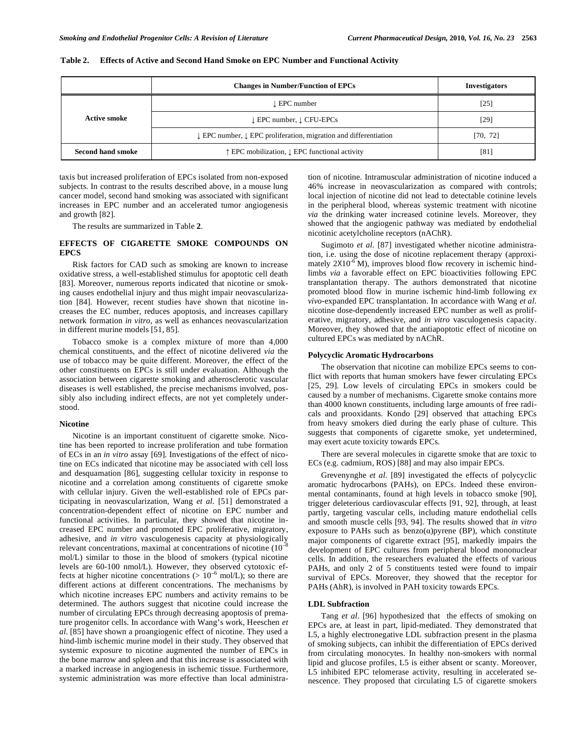|                          | <b>Changes in Number/Function of EPCs</b>                                              | <b>Investigators</b> |
|--------------------------|----------------------------------------------------------------------------------------|----------------------|
|                          | l EPC number                                                                           | $[25]$               |
| Active smoke             | $\downarrow$ EPC number, $\downarrow$ CFU-EPCs                                         | [29]                 |
|                          | $\downarrow$ EPC number, $\downarrow$ EPC proliferation, migration and differentiation | [70, 72]             |
| <b>Second hand smoke</b> | ↑ EPC mobilization, ↓ EPC functional activity                                          | [81]                 |

taxis but increased proliferation of EPCs isolated from non-exposed subjects. In contrast to the results described above, in a mouse lung cancer model, second hand smoking was associated with significant increases in EPC number and an accelerated tumor angiogenesis and growth [82].

The results are summarized in Table **2**.

# **EFFECTS OF CIGARETTE SMOKE COMPOUNDS ON EPCS**

 Risk factors for CAD such as smoking are known to increase oxidative stress, a well-established stimulus for apoptotic cell death [83]. Moreover, numerous reports indicated that nicotine or smoking causes endothelial injury and thus might impair neovascularization [84]. However, recent studies have shown that nicotine increases the EC number, reduces apoptosis, and increases capillary network formation *in vitro,* as well as enhances neovascularization in different murine models [51, 85].

 Tobacco smoke is a complex mixture of more than 4,000 chemical constituents, and the effect of nicotine delivered *via* the use of tobacco may be quite different. Moreover, the effect of the other constituents on EPCs is still under evaluation. Although the association between cigarette smoking and atherosclerotic vascular diseases is well established, the precise mechanisms involved, possibly also including indirect effects, are not yet completely understood.

# **Nicotine**

 Nicotine is an important constituent of cigarette smoke. Nicotine has been reported to increase proliferation and tube formation of ECs in an *in vitro* assay [69]. Investigations of the effect of nicotine on ECs indicated that nicotine may be associated with cell loss and desquamation [86], suggesting cellular toxicity in response to nicotine and a correlation among constituents of cigarette smoke with cellular injury. Given the well-established role of EPCs participating in neovascularization, Wang *et al.* [51] demonstrated a concentration-dependent effect of nicotine on EPC number and functional activities. In particular, they showed that nicotine increased EPC number and promoted EPC proliferative, migratory, adhesive, and *in vitro* vasculogenesis capacity at physiologically relevant concentrations, maximal at concentrations of nicotine  $(10^{-8})$ mol/L) similar to those in the blood of smokers (typical nicotine levels are 60-100 nmol/L). However, they observed cytotoxic effects at higher nicotine concentrations ( $> 10^{-6}$  mol/L); so there are different actions at different concentrations. The mechanisms by which nicotine increases EPC numbers and activity remains to be determined. The authors suggest that nicotine could increase the number of circulating EPCs through decreasing apoptosis of premature progenitor cells. In accordance with Wang's work, Heeschen *et al*. [85] have shown a proangiogenic effect of nicotine. They used a hind-limb ischemic murine model in their study. They observed that systemic exposure to nicotine augmented the number of EPCs in the bone marrow and spleen and that this increase is associated with a marked increase in angiogenesis in ischemic tissue. Furthermore, systemic administration was more effective than local administration of nicotine. Intramuscular administration of nicotine induced a 46% increase in neovascularization as compared with controls; local injection of nicotine did not lead to detectable cotinine levels in the peripheral blood, whereas systemic treatment with nicotine *via* the drinking water increased cotinine levels. Moreover, they showed that the angiogenic pathway was mediated by endothelial nicotinic acetylcholine receptors (nAChR).

 Sugimoto *et al*. [87] investigated whether nicotine administration, i.e. using the dose of nicotine replacement therapy (approximately  $2X10^{-6}$  M), improves blood flow recovery in ischemic hindlimbs *via* a favorable effect on EPC bioactivities following EPC transplantation therapy. The authors demonstrated that nicotine promoted blood flow in murine ischemic hind-limb following *ex vivo*-expanded EPC transplantation. In accordance with Wang *et al.* nicotine dose-dependently increased EPC number as well as proliferative, migratory, adhesive, and *in vitro* vasculogenesis capacity. Moreover, they showed that the antiapoptotic effect of nicotine on cultured EPCs was mediated by nAChR.

#### **Polycyclic Aromatic Hydrocarbons**

 The observation that nicotine can mobilize EPCs seems to conflict with reports that human smokers have fewer circulating EPCs [25, 29]. Low levels of circulating EPCs in smokers could be caused by a number of mechanisms. Cigarette smoke contains more than 4000 known constituents, including large amounts of free radicals and prooxidants. Kondo [29] observed that attaching EPCs from heavy smokers died during the early phase of culture. This suggests that components of cigarette smoke, yet undetermined, may exert acute toxicity towards EPCs.

 There are several molecules in cigarette smoke that are toxic to ECs (e.g. cadmium, ROS) [88] and may also impair EPCs.

 Grevenynghe *et al.* [89] investigated the effects of polycyclic aromatic hydrocarbons (PAHs), on EPCs. Indeed these environmental contaminants, found at high levels in tobacco smoke [90], trigger deleterious cardiovascular effects [91, 92], through, at least partly, targeting vascular cells, including mature endothelial cells and smooth muscle cells [93, 94]. The results showed that *in vitro* exposure to PAHs such as benzo $(\alpha)$ pyrene (BP), which constitute major components of cigarette extract [95], markedly impairs the development of EPC cultures from peripheral blood mononuclear cells. In addition, the researchers evaluated the effects of various PAHs, and only 2 of 5 constituents tested were found to impair survival of EPCs. Moreover, they showed that the receptor for PAHs (AhR), is involved in PAH toxicity towards EPCs.

# **LDL Subfraction**

 Tang *et al*. [96] hypothesized that the effects of smoking on EPCs are, at least in part, lipid-mediated. They demonstrated that L5, a highly electronegative LDL subfraction present in the plasma of smoking subjects, can inhibit the differentiation of EPCs derived from circulating monocytes. In healthy non-smokers with normal lipid and glucose profiles, L5 is either absent or scanty. Moreover, L5 inhibited EPC telomerase activity, resulting in accelerated senescence. They proposed that circulating L5 of cigarette smokers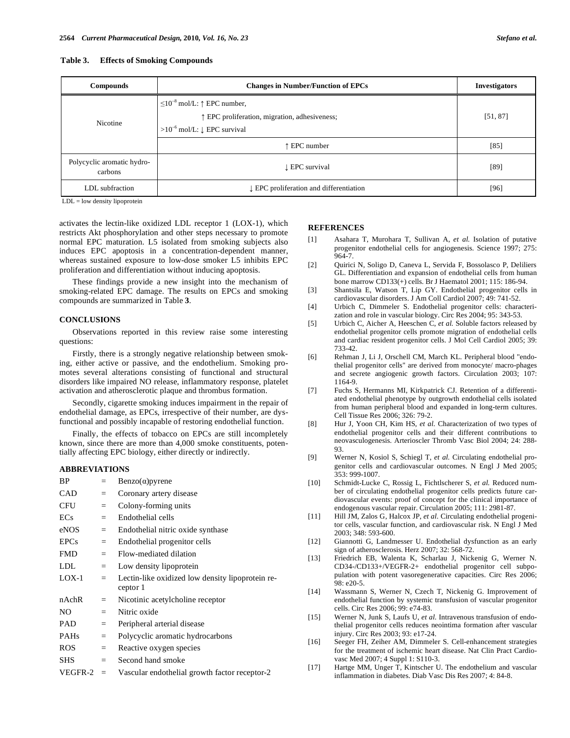| <b>Compounds</b>                      | <b>Changes in Number/Function of EPCs</b>                                                                                                           | <b>Investigators</b> |
|---------------------------------------|-----------------------------------------------------------------------------------------------------------------------------------------------------|----------------------|
| Nicotine                              | $\leq$ 10 <sup>-8</sup> mol/L: ↑ EPC number,<br>↑ EPC proliferation, migration, adhesiveness;<br>>10 <sup>-6</sup> mol/L: $\downarrow$ EPC survival | [51, 87]             |
|                                       | ↑ EPC number                                                                                                                                        | $[85]$               |
| Polycyclic aromatic hydro-<br>carbons | LEPC survival                                                                                                                                       | $[89]$               |
| LDL subfraction                       | LEPC proliferation and differentiation                                                                                                              | $[96]$               |

LDL = low density lipoprotein

activates the lectin-like oxidized LDL receptor 1 (LOX-1), which restricts Akt phosphorylation and other steps necessary to promote normal EPC maturation. L5 isolated from smoking subjects also induces EPC apoptosis in a concentration-dependent manner, whereas sustained exposure to low-dose smoker L5 inhibits EPC proliferation and differentiation without inducing apoptosis.

 These findings provide a new insight into the mechanism of smoking-related EPC damage. The results on EPCs and smoking compounds are summarized in Table **3**.

#### **CONCLUSIONS**

 Observations reported in this review raise some interesting questions:

 Firstly, there is a strongly negative relationship between smoking, either active or passive, and the endothelium. Smoking promotes several alterations consisting of functional and structural disorders like impaired NO release, inflammatory response, platelet activation and atherosclerotic plaque and thrombus formation.

 Secondly, cigarette smoking induces impairment in the repair of endothelial damage, as EPCs, irrespective of their number, are dysfunctional and possibly incapable of restoring endothelial function.

 Finally, the effects of tobacco on EPCs are still incompletely known, since there are more than 4,000 smoke constituents, potentially affecting EPC biology, either directly or indirectly.

# **ABBREVIATIONS**

| ΒP          | $=$ | $Benzo(\alpha)$ pyrene                                       |
|-------------|-----|--------------------------------------------------------------|
| <b>CAD</b>  | $=$ | Coronary artery disease                                      |
| CFU         | $=$ | Colony-forming units                                         |
| ECs         | $=$ | Endothelial cells                                            |
| eNOS        | $=$ | Endothelial nitric oxide synthase                            |
| <b>EPCs</b> | $=$ | Endothelial progenitor cells                                 |
| <b>FMD</b>  | $=$ | Flow-mediated dilation                                       |
| <b>LDL</b>  | $=$ | Low density lipoprotein                                      |
| $LOX-1$     | $=$ | Lectin-like oxidized low density lipoprotein re-<br>ceptor 1 |
| nAchR       | $=$ | Nicotinic acetylcholine receptor                             |
| NO.         | $=$ | Nitric oxide                                                 |
| <b>PAD</b>  | $=$ | Peripheral arterial disease                                  |
| <b>PAHs</b> | $=$ | Polycyclic aromatic hydrocarbons                             |
| ROS         | $=$ | Reactive oxygen species                                      |
| <b>SHS</b>  | $=$ | Second hand smoke                                            |
| VEGFR-2     | $=$ | Vascular endothelial growth factor receptor-2                |

#### **REFERENCES**

- [1] Asahara T, Murohara T, Sullivan A, *et al.* Isolation of putative progenitor endothelial cells for angiogenesis. Science 1997; 275:  $964 - 7$
- [2] Quirici N, Soligo D, Caneva L, Servida F, Bossolasco P, Deliliers GL. Differentiation and expansion of endothelial cells from human bone marrow CD133(+) cells. Br J Haematol 2001; 115: 186-94.
- [3] Shantsila E, Watson T, Lip GY. Endothelial progenitor cells in cardiovascular disorders. J Am Coll Cardiol 2007; 49: 741-52.
- [4] Urbich C, Dimmeler S. Endothelial progenitor cells: characterization and role in vascular biology. Circ Res 2004; 95: 343-53.
- [5] Urbich C, Aicher A, Heeschen C, et al. Soluble factors released by endothelial progenitor cells promote migration of endothelial cells and cardiac resident progenitor cells. J Mol Cell Cardiol 2005; 39: 733-42.
- [6] Rehman J, Li J, Orschell CM, March KL. Peripheral blood "endothelial progenitor cells" are derived from monocyte/ macro-phages and secrete angiogenic growth factors. Circulation 2003; 107: 1164-9.
- [7] Fuchs S, Hermanns MI, Kirkpatrick CJ. Retention of a differentiated endothelial phenotype by outgrowth endothelial cells isolated from human peripheral blood and expanded in long-term cultures. Cell Tissue Res 2006; 326: 79-2.
- [8] Hur J, Yoon CH, Kim HS, *et al.* Characterization of two types of endothelial progenitor cells and their different contributions to neovasculogenesis. Arterioscler Thromb Vasc Biol 2004; 24: 288- 93.
- [9] Werner N, Kosiol S, Schiegl T, *et al.* Circulating endothelial progenitor cells and cardiovascular outcomes. N Engl J Med 2005; 353: 999-1007.
- [10] Schmidt-Lucke C, Rossig L, Fichtlscherer S, *et al.* Reduced number of circulating endothelial progenitor cells predicts future cardiovascular events: proof of concept for the clinical importance of endogenous vascular repair. Circulation 2005; 111: 2981-87.
- [11] Hill JM, Zalos G, Halcox JP, *et al.* Circulating endothelial progenitor cells, vascular function, and cardiovascular risk. N Engl J Med 2003; 348: 593-600.
- [12] Giannotti G, Landmesser U. Endothelial dysfunction as an early sign of atherosclerosis. Herz 2007; 32: 568-72.
- [13] Friedrich EB, Walenta K, Scharlau J, Nickenig G, Werner N. CD34-/CD133+/VEGFR-2+ endothelial progenitor cell subpopulation with potent vasoregenerative capacities. Circ Res 2006;  $98. e20 - 5.$
- [14] Wassmann S, Werner N, Czech T, Nickenig G. Improvement of endothelial function by systemic transfusion of vascular progenitor cells. Circ Res 2006; 99: e74-83.
- [15] Werner N, Junk S, Laufs U, *et al.* Intravenous transfusion of endothelial progenitor cells reduces neointima formation after vascular injury. Circ Res 2003; 93: e17-24.
- [16] Seeger FH, Zeiher AM, Dimmeler S. Cell-enhancement strategies for the treatment of ischemic heart disease. Nat Clin Pract Cardiovasc Med 2007; 4 Suppl 1: S110-3.
- [17] Hartge MM, Unger T, Kintscher U. The endothelium and vascular inflammation in diabetes. Diab Vasc Dis Res 2007; 4: 84-8.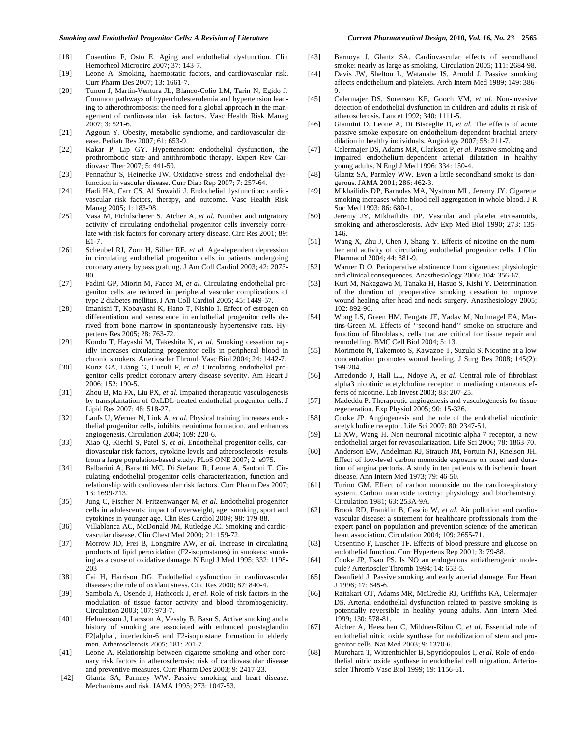- [18] Cosentino F, Osto E. Aging and endothelial dysfunction. Clin Hemorheol Microcirc 2007; 37: 143-7.
- [19] Leone A. Smoking, haemostatic factors, and cardiovascular risk. Curr Pharm Des 2007; 13: 1661-7.
- [20] Tunon J, Martin-Ventura JL, Blanco-Colio LM, Tarin N, Egido J. Common pathways of hypercholesterolemia and hypertension leading to atherothrombosis: the need for a global approach in the management of cardiovascular risk factors. Vasc Health Risk Manag 2007; 3: 521-6.
- [21] Aggoun Y. Obesity, metabolic syndrome, and cardiovascular disease. Pediatr Res 2007; 61: 653-9.
- [22] Kakar P, Lip GY. Hypertension: endothelial dysfunction, the prothrombotic state and antithrombotic therapy. Expert Rev Cardiovasc Ther 2007; 5: 441-50.
- [23] Pennathur S, Heinecke JW. Oxidative stress and endothelial dysfunction in vascular disease. Curr Diab Rep 2007; 7: 257-64.
- [24] Hadi HA, Carr CS, Al Suwaidi J. Endothelial dysfunction: cardiovascular risk factors, therapy, and outcome. Vasc Health Risk Manag 2005; 1: 183-98.
- [25] Vasa M, Fichtlscherer S, Aicher A, *et al.* Number and migratory activity of circulating endothelial progenitor cells inversely correlate with risk factors for coronary artery disease. Circ Res 2001; 89: E1-7.
- [26] Scheubel RJ, Zorn H, Silber RE, *et al.* Age-dependent depression in circulating endothelial progenitor cells in patients undergoing coronary artery bypass grafting. J Am Coll Cardiol 2003; 42: 2073- 80.
- [27] Fadini GP, Miorin M, Facco M, et al. Circulating endothelial progenitor cells are reduced in peripheral vascular complications of type 2 diabetes mellitus. J Am Coll Cardiol 2005; 45: 1449-57.
- [28] Imanishi T, Kobayashi K, Hano T, Nishio I. Effect of estrogen on differentiation and senescence in endothelial progenitor cells derived from bone marrow in spontaneously hypertensive rats. Hypertens Res 2005; 28: 763-72.
- [29] Kondo T, Hayashi M, Takeshita K, *et al.* Smoking cessation rapidly increases circulating progenitor cells in peripheral blood in chronic smokers. Arterioscler Thromb Vasc Biol 2004; 24: 1442-7.
- [30] Kunz GA, Liang G, Cuculi F, *et al.* Circulating endothelial progenitor cells predict coronary artery disease severity. Am Heart J 2006; 152: 190-5.
- [31] Zhou B, Ma FX, Liu PX, *et al*. Impaired therapeutic vasculogenesis by transplantation of OxLDL-treated endothelial progenitor cells. J Lipid Res 2007; 48: 518-27.
- [32] Laufs U, Werner N, Link A, *et al*. Physical training increases endothelial progenitor cells, inhibits neointima formation, and enhances angiogenesis. Circulation 2004; 109: 220-6.
- [33] Xiao Q, Kiechl S, Patel S, *et al.* Endothelial progenitor cells, cardiovascular risk factors, cytokine levels and atherosclerosis--results from a large population-based study. PLoS ONE 2007; 2: e975.
- [34] Balbarini A, Barsotti MC, Di Stefano R, Leone A, Santoni T. Circulating endothelial progenitor cells characterization, function and relationship with cardiovascular risk factors. Curr Pharm Des 2007; 13: 1699-713.
- [35] Jung C, Fischer N, Fritzenwanger M, *et al*. Endothelial progenitor cells in adolescents: impact of overweight, age, smoking, sport and cytokines in younger age. Clin Res Cardiol 2009; 98: 179-88.
- [36] Villablanca AC, McDonald JM, Rutledge JC. Smoking and cardiovascular disease. Clin Chest Med 2000; 21: 159-72.
- [37] Morrow JD, Frei B, Longmire AW, *et al.* Increase in circulating products of lipid peroxidation (F2-isoprostanes) in smokers: smoking as a cause of oxidative damage. N Engl J Med 1995; 332: 1198- 203
- [38] Cai H, Harrison DG. Endothelial dysfunction in cardiovascular diseases: the role of oxidant stress. Circ Res 2000; 87: 840-4.
- [39] Sambola A, Osende J, Hathcock J, *et al*. Role of risk factors in the modulation of tissue factor activity and blood thrombogenicity. Circulation 2003; 107: 973-7.
- [40] Helmersson J, Larsson A, Vessby B, Basu S. Active smoking and a history of smoking are associated with enhanced prostaglandin F2[alpha], interleukin-6 and F2-isoprostane formation in elderly men. Atherosclerosis 2005; 181: 201-7.
- [41] Leone A. Relationship between cigarette smoking and other coronary risk factors in atherosclerosis: risk of cardiovascular disease and preventive measures. Curr Pharm Des 2003; 9: 2417-23.
- [42] Glantz SA, Parmley WW. Passive smoking and heart disease. Mechanisms and risk. JAMA 1995; 273: 1047-53.
- [43] Barnoya J, Glantz SA. Cardiovascular effects of secondhand smoke: nearly as large as smoking. Circulation 2005; 111: 2684-98.
- [44] Davis JW, Shelton L, Watanabe IS, Arnold J. Passive smoking affects endothelium and platelets. Arch Intern Med 1989; 149: 386- 9.
- [45] Celermajer DS, Sorensen KE, Gooch VM, *et al.* Non-invasive detection of endothelial dysfunction in children and adults at risk of atherosclerosis. Lancet 1992; 340: 1111-5.
- [46] Giannini D, Leone A, Di Bisceglie D, *et al.* The effects of acute passive smoke exposure on endothelium-dependent brachial artery dilation in healthy individuals. Angiology 2007; 58: 211-7.
- [47] Celermajer DS, Adams MR, Clarkson P, *et al.* Passive smoking and impaired endothelium-dependent arterial dilatation in healthy young adults. N Engl J Med 1996; 334: 150-4.
- [48] Glantz SA, Parmley WW. Even a little secondhand smoke is dangerous. JAMA 2001; 286: 462-3.
- [49] Mikhailidis DP, Barradas MA, Nystrom ML, Jeremy JY. Cigarette smoking increases white blood cell aggregation in whole blood. J R Soc Med 1993; 86: 680-1.
- [50] Jeremy JY, Mikhailidis DP. Vascular and platelet eicosanoids, smoking and atherosclerosis. Adv Exp Med Biol 1990; 273: 135- 146.
- [51] Wang X, Zhu J, Chen J, Shang Y. Effects of nicotine on the number and activity of circulating endothelial progenitor cells. J Clin Pharmacol 2004; 44: 881-9.
- [52] Warner D O. Perioperative abstinence from cigarettes: physiologic and clinical consequences. Anasthesiology 2006; 104: 356-67.
- [53] Kuri M, Nakagawa M, Tanaka H, Hasuo S, Kishi Y. Determination of the duration of preoperative smoking cessation to improve wound healing after head and neck surgery. Anasthesiology 2005; 102: 892-96.
- [54] Wong LS, Green HM, Feugate JE, Yadav M, Nothnagel EA, Martins-Green M. Effects of ''second-hand'' smoke on structure and function of fibroblasts, cells that are critical for tissue repair and remodelling. BMC Cell Biol 2004; 5: 13.
- [55] Morimoto N, Takemoto S, Kawazoe T, Suzuki S. Nicotine at a low concentration promotes wound healing. J Surg Res 2008; 145(2): 199-204.
- [56] Arredondo J, Hall LL, Ndoye A, *et al*. Central role of fibroblast alpha3 nicotinic acetylcholine receptor in mediating cutaneous effects of nicotine. Lab Invest 2003; 83: 207-25.
- [57] Madeddu P. Therapeutic angiogenesis and vasculogenesis for tissue regeneration. Exp Physiol 2005; 90: 15-326.
- [58] Cooke JP. Angiogenesis and the role of the endothelial nicotinic acetylcholine receptor. Life Sci 2007; 80: 2347-51.
- [59] Li XW, Wang H. Non-neuronal nicotinic alpha 7 receptor, a new endothelial target for revascularization. Life Sci 2006; 78: 1863-70.
- [60] Anderson EW, Andelman RJ, Strauch JM, Fortuin NJ, Knelson JH. Effect of low-level carbon monoxide exposure on onset and duration of angina pectoris. A study in ten patients with ischemic heart disease. Ann Intern Med 1973; 79: 46-50.
- [61] Turino GM. Effect of carbon monoxide on the cardiorespiratory system. Carbon monoxide toxicity: physiology and biochemistry. Circulation 1981; 63: 253A-9A.
- [62] Brook RD, Franklin B, Cascio W, *et al.* Air pollution and cardiovascular disease: a statement for healthcare professionals from the expert panel on population and prevention science of the american heart association. Circulation 2004; 109: 2655-71.
- [63] Cosentino F, Luscher TF. Effects of blood pressure and glucose on endothelial function. Curr Hypertens Rep 2001; 3: 79-88.
- [64] Cooke JP, Tsao PS. Is NO an endogenous antiatherogenic molecule? Arterioscler Thromb 1994; 14: 653-5.
- [65] Deanfield J. Passive smoking and early arterial damage. Eur Heart J 1996; 17: 645-6.
- [66] Raitakari OT, Adams MR, McCredie RJ, Griffiths KA, Celermajer DS. Arterial endothelial dysfunction related to passive smoking is potentially reversible in healthy young adults. Ann Intern Med 1999; 130: 578-81.
- [67] Aicher A, Heeschen C, Mildner-Rihm C, *et al.* Essential role of endothelial nitric oxide synthase for mobilization of stem and progenitor cells. Nat Med 2003; 9: 1370-6.
- [68] Murohara T, Witzenbichler B, Spyridopoulos I, *et al.* Role of endothelial nitric oxide synthase in endothelial cell migration. Arterioscler Thromb Vasc Biol 1999; 19: 1156-61.